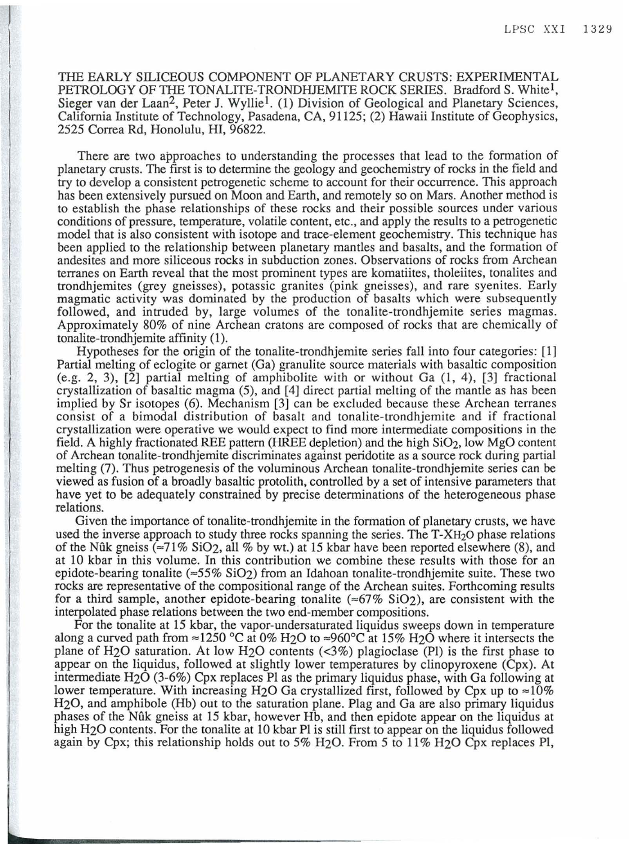THE EARLY SILICEOUS COMPONENT OF PLANETARY CRUSTS: EXPERIMENTAL PETROLOGY OF THE TONALITE-TRONDHJEMITE ROCK SERIES. Bradford S. White<sup>1</sup>, Sieger van der Laan2, Peter J. Wylliel. (1) Division of Geological and Planetary Sciences, California Institute of Technology, Pasadena, CA, 91125; (2) Hawaii Institute of Geophysics, 2525 Correa Rd, Honolulu, HI, 96822.

There are two approaches to understanding the processes that lead to the formation of planetary crusts. The first is to determine the geology and geochemistry of rocks in the field and try to develop a consistent petrogenetic scheme to account for their occurrence. This approach has been extensively pursued on Moon and Earth, and remotely so on Mars. Another method is to establish the phase relationships of these rocks and their possible sources under various conditions of pressure, temperature, volatile content, etc., and apply the results to a petrogenetic model that is also consistent with isotope and trace-element geochemistry. This technique has been applied to the relationship between planetary mantles and basalts, and the formation of andesites and more siliceous rocks in subduction zones. Observations of rocks from Archean terranes on Earth reveal that the most prominent types are komatiites, tholeiites, tonalites and trondhjemites (grey gneisses), potassic granites (pink gneisses), and rare syenites. Early magmatic activity was dominated by the production of basalts which were subsequently followed, and intruded by, large volumes of the tonalite-trondhjemite series magmas. Approximately 80% of nine Archean cratons are composed of rocks that are chemically of tonalite-trondhjemite affinity (1).

Hypotheses for the origin of the tonalite-trondhjemite series fall into four categories: [1] Partial melting of eclogite or garnet (Ga) granulite source materials with basaltic composition (e.g. 2, 3), [2] partial melting of amphibolite with or without Ga (1, 4), [3] fractional crystallization of basaltic magma (5), and [4] direct partial melting of the mantle as has been implied by Sr isotopes (6). Mechanism [3] can be excluded because these Archean terranes consist of a bimodal distribution of basalt and tonalite-trondhjemite and if fractional crystallization were operative we would expect to find more intermediate compositions in the field. A highly fractionated REE pattern (HREE depletion) and the high  $SiO<sub>2</sub>$ , low MgO content of Archean tonalite-trondhjemite discriminates against peridotite as a source rock during partial melting (7). Thus petrogenesis of the voluminous Archean tonalite-trondhjemite series can be viewed as fusion of a broadly basaltic protolith, controlled by a set of intensive parameters that have yet to be adequately constrained by precise determinations of the heterogeneous phase relations.

Given the importance of tonalite-trondhjemite in the formation of planetary crusts, we have used the inverse approach to study three rocks spanning the series. The  $T-XH<sub>2</sub>O$  phase relations of the Nûk gneiss ( $\approx$ 71% SiO<sub>2</sub>, all % by wt.) at 15 kbar have been reported elsewhere (8), and at 10 kbar in this volume. In this contribution we combine these results with those for an epidote-bearing tonalite  $(\approx 55\%$  SiO<sub>2</sub>) from an Idahoan tonalite-trondhjemite suite. These two rocks are representative of the compositional range of the Archean suites. Forthcoming results for a third sample, another epidote-bearing tonalite ( $\approx 67\%$  SiO<sub>2</sub>), are consistent with the interpolated phase relations between the two end-member compositions.

For the tonalite at 15 kbar, the vapor-undersaturated liquidus sweeps down in temperature along a curved path from  $\approx$ 1250 °C at 0% H<sub>2</sub>O to  $\approx$ 960°C at 15% H<sub>2</sub>O where it intersects the plane of H20 saturation. At low H20 contents (<3%) plagioclase (Pl) is the first phase to appear on the liquidus, followed at slightly lower temperatures by clinopyroxene (Cpx). At intermediate H20 (3-6%) Cpx replaces Pl as the primary liquidus phase, with Ga following at lower temperature. With increasing H<sub>2</sub>O Ga crystallized first, followed by Cpx up to  $\approx 10\%$ H20, and amphibole (Hb) out to the saturation plane. Plag and Ga are also primary liquidus phases of the Nuk gneiss at 15 kbar, however Hb, and then epidote appear on the liquidus at high H<sub>2</sub>O contents. For the tonalite at 10 kbar Pl is still first to appear on the liquidus followed again by Cpx; this relationship holds out to 5% H<sub>2</sub>O. From 5 to 11% H<sub>2</sub>O Cpx replaces Pl,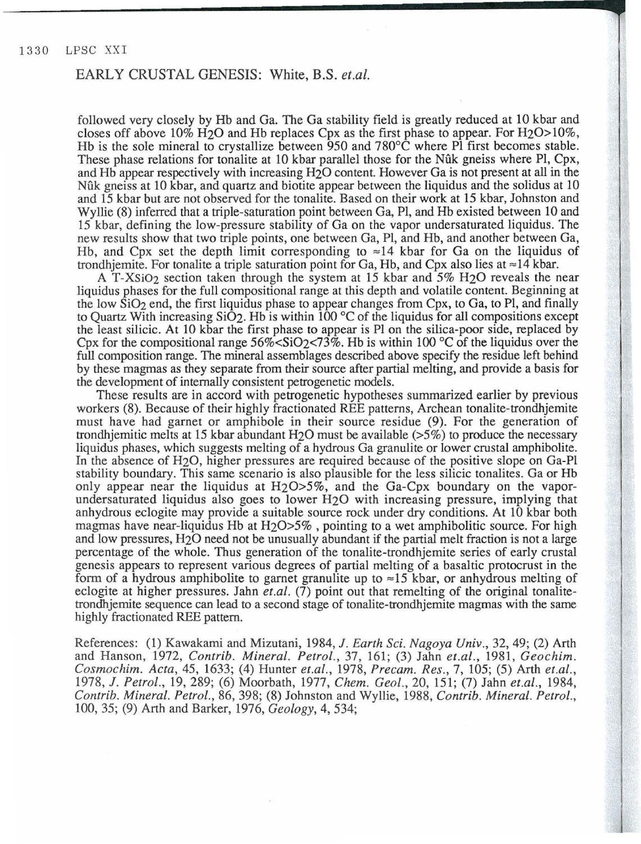#### EARLY CRUSTAL GENESIS: White, B.S. *et.al.*

followed very closely by Hb and Ga. The Ga stability field is greatly reduced at 10 kbar and closes off above  $10\%$  H<sub>2</sub>O and Hb replaces Cpx as the first phase to appear. For H<sub>2</sub>O >  $10\%$ , Hb is the sole mineral to crystallize between 950 and 780°C where Pl first becomes stable. These phase relations for tonalite at 10 kbar parallel those for the Nfik gneiss where Pl, Cpx, and Hb appear respectively with increasing H20 content. However Ga is not present at all in the Nfik gneiss at 10 kbar, and quartz and biotite appear between the Iiquidus and the solidus at 10 and 15 kbar but are not observed for the tonalite. Based on their work at 15 kbar, Johnston and Wyllie (8) inferred that a triple-saturation point between Ga, Pl, and Hb existed between 10 and 15 kbar, defining the low-pressure stability of Ga on the vapor undersaturated Iiquidus. The new results show that two triple points, one between Ga, Pl, and Hb, and another between Ga, Hb, and Cpx set the depth limit corresponding to  $\approx$ 14 kbar for Ga on the liquidus of trondhjemite. For tonalite a triple saturation point for Ga, Hb, and Cpx also lies at  $\approx$  14 kbar.

A T-XSi02 section taken through the system at 15 kbar and 5% H20 reveals the near liquidus phases for the full compositional range at this depth and volatile content. Beginning at the low  $SiO<sub>2</sub>$  end, the first liquidus phase to appear changes from Cpx, to Ga, to Pl, and finally to Quartz With increasing  $Si\ddot{O}_2$ . Hb is within 100 °C of the liquidus for all compositions except the least silicic. At 10 kbar the first phase to appear is Pl on the silica-poor side, replaced by Cpx for the compositional range  $56\% < \text{SiO}_2 < 73\%$ . Hb is within 100 °C of the liquidus over the full composition range. The mineral assemblages described above specify the residue left behind by these magmas as they separate from their source after partial melting, and provide a basis for the development of internally consistent petrogenetic models.

These results are in accord with petrogenetic hypotheses summarized earlier by previous workers (8). Because of their highly fractionated REE patterns, Archean tonalite-trondhjemite must have had garnet or amphibole in their source residue (9). For the generation of trondhjemitic melts at 15 kbar abundant H20 must be available (>5%) to produce the necessary Iiquidus phases, which suggests melting of a hydrous Ga granulite or lower crustal amphibolite. In the absence of H20, higher pressures are required because of the positive slope on Ga-Pl stability boundary. This same scenario is also plausible for the less silicic tonalites. Ga or Hb only appear near the liquidus at  $H_2O \geq 5\%$ , and the Ga-Cpx boundary on the vaporundersaturated liquidus also goes to lower H20 with increasing pressure, implying that anhydrous eclogite may provide a suitable source rock under dry conditions. At 10 kbar both magmas have near-liquidus Hb at  $H_2O \geq 5\%$ , pointing to a wet amphibolitic source. For high and low pressures, H20 need not be unusually abundant if the partial melt fraction is not a large percentage of the whole. Thus generation of the tonalite-trondhjemite series of early crustal genesis appears to represent various degrees of partial melting of a basaltic protocrust in the form of a hydrous amphibolite to garnet granulite up to  $\approx 15$  kbar, or anhydrous melting of eclogite at higher pressures. Jahn *et.al.* (7) point out that remelting of the original tonalitetrondhjemite sequence can lead to a second stage of tonalite-trondhjemite magmas with the same highly fractionated REE pattern.

References: (1) Kawakami and Mizutani, 1984, J. *Earth Sci. Nagoya Univ.,* 32, 49; (2) Arth and Hanson, 1972, *Contrib. Mineral. Petrol.,* 37, 161; (3) Jahn *et.al.,* 1981, *Geochim. Cosmochim. Acta,* 45, 1633; (4) Hunter *et.al.,* 1978, *Precam. Res.,* 7, 105; (5) Arth *et.al. ,* 1978, J. *Petrol.,* 19, 289; (6) Moorbath, 1977, *Chem. Geo!.,* 20, 151; (7) Jahn *et.al.,* 1984, *Contrib. Mineral. Petrol.,* 86, 398; (8) Johnston and Wyllie, 1988, *Contrib. Mineral. Petrol.,*  100, 35; (9) Arth and Barker, 1976, *Geology,* 4, 534;